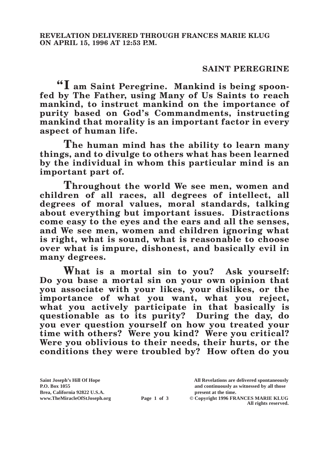## **SAINT PEREGRINE**

**"I am Saint Peregrine. Mankind is being spoonfed by The Father, using Many of Us Saints to reach mankind, to instruct mankind on the importance of purity based on God's Commandments, instructing mankind that morality is an important factor in every aspect of human life.**

**The human mind has the ability to learn many things, and to divulge to others what has been learned by the individual in whom this particular mind is an important part of.**

**Throughout the world We see men, women and children of all races, all degrees of intellect, all degrees of moral values, moral standards, talking about everything but important issues. Distractions come easy to the eyes and the ears and all the senses, and We see men, women and children ignoring what is right, what is sound, what is reasonable to choose over what is impure, dishonest, and basically evil in many degrees.**

**What is a mortal sin to you? Ask yourself: Do you base a mortal sin on your own opinion that you associate with your likes, your dislikes, or the importance of what you want, what you reject, what you actively participate in that basically is questionable as to its purity? During the day, do you ever question yourself on how you treated your time with others? Were you kind? Were you critical? Were you oblivious to their needs, their hurts, or the conditions they were troubled by? How often do you** 

Brea, California 92822 U.S.A.<br>
www.TheMiracleOfStJoseph.org<br> **Page 1 of 3** © Copyright 1996 FR.

**Saint Joseph's Hill Of Hope All Revelations are delivered spontaneously P.O. Box 1055 and continuously as witnessed by all those** 

**Page 1 of 3** © Copyright 1996 FRANCES MARIE KLUG **All rights reserved.**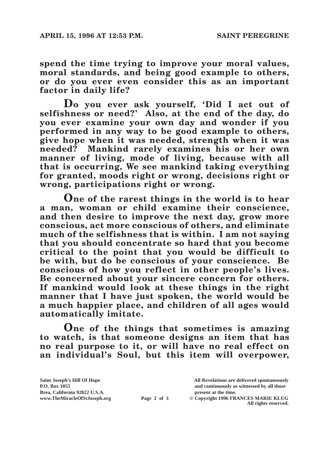**spend the time trying to improve your moral values, moral standards, and being good example to others, or do you ever even consider this as an important factor in daily life?**

**Do you ever ask yourself, 'Did I act out of selfishness or need?' Also, at the end of the day, do you ever examine your own day and wonder if you performed in any way to be good example to others, give hope when it was needed, strength when it was needed? Mankind rarely examines his or her own manner of living, mode of living, because with all that is occurring, We see mankind taking everything for granted, moods right or wrong, decisions right or wrong, participations right or wrong.**

**One of the rarest things in the world is to hear a man, woman or child examine their conscience, and then desire to improve the next day, grow more conscious, act more conscious of others, and eliminate much of the selfishness that is within. I am not saying that you should concentrate so hard that you become critical to the point that you would be difficult to be with, but do be conscious of your conscience. Be conscious of how you reflect in other people's lives. Be concerned about your sincere concern for others. If mankind would look at these things in the right manner that I have just spoken, the world would be a much happier place, and children of all ages would automatically imitate.**

**One of the things that sometimes is amazing to watch, is that someone designs an item that has no real purpose to it, or will have no real effect on an individual's Soul, but this item will overpower,** 

|             | All Revelations are delivered spontaneously |
|-------------|---------------------------------------------|
|             | and continuously as witnessed by all those  |
|             | present at the time.                        |
| Page 2 of 3 | © Copyright 1996 FRANCES MARIE KLUG         |
|             | All rights reserved.                        |
|             |                                             |